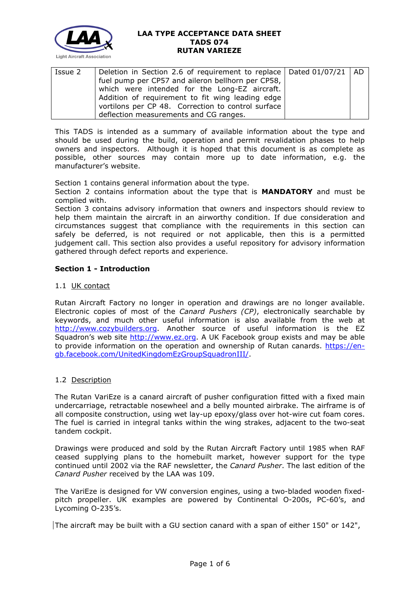

| Issue 2 | Deletion in Section 2.6 of requirement to replace   Dated 01/07/21   AD |  |
|---------|-------------------------------------------------------------------------|--|
|         | fuel pump per CP57 and aileron bellhorn per CP58,                       |  |
|         | which were intended for the Long-EZ aircraft.                           |  |
|         | Addition of requirement to fit wing leading edge                        |  |
|         | vortilons per CP 48. Correction to control surface                      |  |
|         | deflection measurements and CG ranges.                                  |  |

This TADS is intended as a summary of available information about the type and should be used during the build, operation and permit revalidation phases to help owners and inspectors. Although it is hoped that this document is as complete as possible, other sources may contain more up to date information, e.g. the manufacturer's website.

Section 1 contains general information about the type.

Section 2 contains information about the type that is **MANDATORY** and must be complied with.

Section 3 contains advisory information that owners and inspectors should review to help them maintain the aircraft in an airworthy condition. If due consideration and circumstances suggest that compliance with the requirements in this section can safely be deferred, is not required or not applicable, then this is a permitted judgement call. This section also provides a useful repository for advisory information gathered through defect reports and experience.

## **Section 1 - Introduction**

## 1.1 UK contact

Rutan Aircraft Factory no longer in operation and drawings are no longer available. Electronic copies of most of the *Canard Pushers (CP)*, electronically searchable by keywords, and much other useful information is also available from the web at [http://www.cozybuilders.org.](http://www.cozybuilders.org/) Another source of useful information is the EZ Squadron's web site [http://www.ez.org.](http://www.ez.org/) A UK Facebook group exists and may be able to provide information on the operation and ownership of Rutan canards. [https://en](https://en-gb.facebook.com/UnitedKingdomEzGroupSquadronIII/)[gb.facebook.com/UnitedKingdomEzGroupSquadronIII/.](https://en-gb.facebook.com/UnitedKingdomEzGroupSquadronIII/)

## 1.2 Description

The Rutan VariEze is a canard aircraft of pusher configuration fitted with a fixed main undercarriage, retractable nosewheel and a belly mounted airbrake. The airframe is of all composite construction, using wet lay-up epoxy/glass over hot-wire cut foam cores. The fuel is carried in integral tanks within the wing strakes, adjacent to the two-seat tandem cockpit.

Drawings were produced and sold by the Rutan Aircraft Factory until 1985 when RAF ceased supplying plans to the homebuilt market, however support for the type continued until 2002 via the RAF newsletter, the *Canard Pusher*. The last edition of the *Canard Pusher* received by the LAA was 109.

The VariEze is designed for VW conversion engines, using a two-bladed wooden fixedpitch propeller. UK examples are powered by Continental O-200s, PC-60's, and Lycoming O-235's.

The aircraft may be built with a GU section canard with a span of either 150" or 142",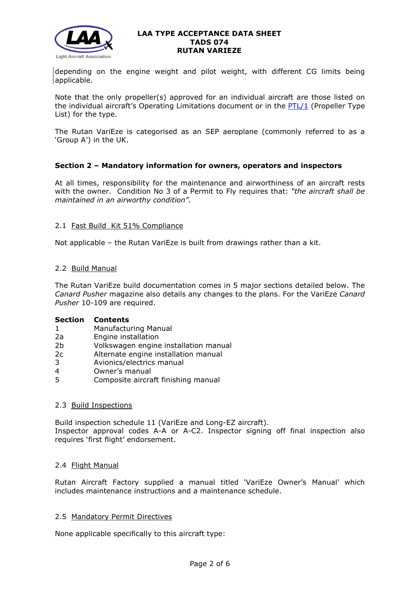

depending on the engine weight and pilot weight, with different CG limits being applicable.

Note that the only propeller(s) approved for an individual aircraft are those listed on the individual aircraft's Operating Limitations document or in the [PTL/1](http://www.lightaircraftassociation.co.uk/engineering/NewMods/PTL.html) (Propeller Type List) for the type.

The Rutan VariEze is categorised as an SEP aeroplane (commonly referred to as a 'Group A') in the UK.

# **Section 2 – Mandatory information for owners, operators and inspectors**

At all times, responsibility for the maintenance and airworthiness of an aircraft rests with the owner. Condition No 3 of a Permit to Fly requires that: *"the aircraft shall be maintained in an airworthy condition".* 

## 2.1 Fast Build Kit 51% Compliance

Not applicable – the Rutan VariEze is built from drawings rather than a kit.

## 2.2 Build Manual

The Rutan VariEze build documentation comes in 5 major sections detailed below. The *Canard Pusher* magazine also details any changes to the plans. For the VariEze *Canard Pusher* 10-109 are required.

## **Section Contents**

- 1 Manufacturing Manual
- 2a Engine installation
- 2b Volkswagen engine installation manual
- 2c Alternate engine installation manual
- 3 Avionics/electrics manual
- 4 Owner's manual
- 5 Composite aircraft finishing manual

## 2.3 Build Inspections

Build inspection schedule 11 (VariEze and Long-EZ aircraft). Inspector approval codes A-A or A-C2. Inspector signing off final inspection also requires 'first flight' endorsement.

# 2.4 Flight Manual

Rutan Aircraft Factory supplied a manual titled 'VariEze Owner's Manual' which includes maintenance instructions and a maintenance schedule.

## 2.5 Mandatory Permit Directives

None applicable specifically to this aircraft type: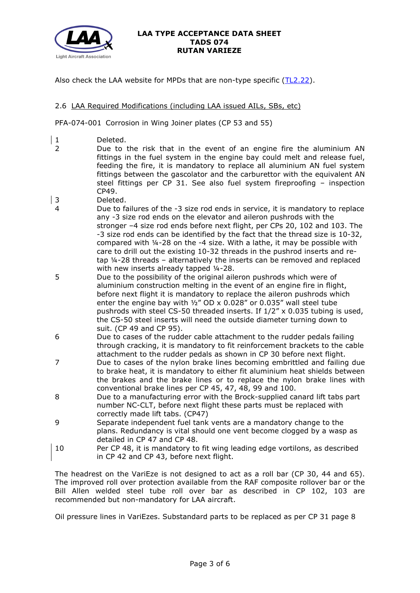

Also check the LAA website for MPDs that are non-type specific [\(TL2.22\)](http://www.lightaircraftassociation.co.uk/engineering/TechnicalLeaflets/Operating%20An%20Aircraft/TL%202.22%20non-type%20specific%20MPDs.pdf).

# 2.6 LAA Required Modifications (including LAA issued AILs, SBs, etc)

PFA-074-001 Corrosion in Wing Joiner plates (CP 53 and 55)

- | 1 Deleted.
- 2 Due to the risk that in the event of an engine fire the aluminium AN fittings in the fuel system in the engine bay could melt and release fuel, feeding the fire, it is mandatory to replace all aluminium AN fuel system fittings between the gascolator and the carburettor with the equivalent AN steel fittings per CP 31. See also fuel system fireproofing – inspection CP49.
- 3 Deleted.
- 4 Due to failures of the -3 size rod ends in service, it is mandatory to replace any -3 size rod ends on the elevator and aileron pushrods with the stronger –4 size rod ends before next flight, per CPs 20, 102 and 103. The -3 size rod ends can be identified by the fact that the thread size is 10-32, compared with ¼-28 on the -4 size. With a lathe, it may be possible with care to drill out the existing 10-32 threads in the pushrod inserts and retap ¼-28 threads – alternatively the inserts can be removed and replaced with new inserts already tapped 1/4-28.
- 5 Due to the possibility of the original aileron pushrods which were of aluminium construction melting in the event of an engine fire in flight, before next flight it is mandatory to replace the aileron pushrods which enter the engine bay with  $\frac{1}{2}$ " OD x 0.028" or 0.035" wall steel tube pushrods with steel CS-50 threaded inserts. If 1/2" x 0.035 tubing is used, the CS-50 steel inserts will need the outside diameter turning down to suit. (CP 49 and CP 95).
- 6 Due to cases of the rudder cable attachment to the rudder pedals failing through cracking, it is mandatory to fit reinforcement brackets to the cable attachment to the rudder pedals as shown in CP 30 before next flight.
- 7 Due to cases of the nylon brake lines becoming embrittled and failing due to brake heat, it is mandatory to either fit aluminium heat shields between the brakes and the brake lines or to replace the nylon brake lines with conventional brake lines per CP 45, 47, 48, 99 and 100.
- 8 Due to a manufacturing error with the Brock-supplied canard lift tabs part number NC-CLT, before next flight these parts must be replaced with correctly made lift tabs. (CP47)
- 9 Separate independent fuel tank vents are a mandatory change to the plans. Redundancy is vital should one vent become clogged by a wasp as detailed in CP 47 and CP 48.
- 10 Per CP 48, it is mandatory to fit wing leading edge vortilons, as described in CP 42 and CP 43, before next flight.

The headrest on the VariEze is not designed to act as a roll bar (CP 30, 44 and 65). The improved roll over protection available from the RAF composite rollover bar or the Bill Allen welded steel tube roll over bar as described in CP 102, 103 are recommended but non-mandatory for LAA aircraft.

Oil pressure lines in VariEzes. Substandard parts to be replaced as per CP 31 page 8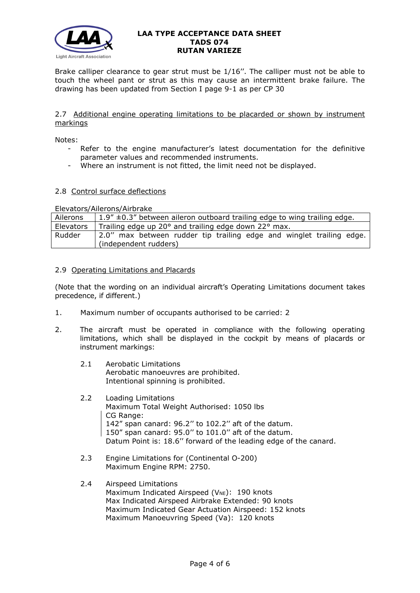

Brake calliper clearance to gear strut must be 1/16''. The calliper must not be able to touch the wheel pant or strut as this may cause an intermittent brake failure. The drawing has been updated from Section I page 9-1 as per CP 30

## 2.7 Additional engine operating limitations to be placarded or shown by instrument markings

Notes:

- Refer to the engine manufacturer's latest documentation for the definitive parameter values and recommended instruments.
- Where an instrument is not fitted, the limit need not be displayed.

## 2.8 Control surface deflections

Elevators/Ailerons/Airbrake

| Ailerons  | $1.9'' \pm 0.3''$ between aileron outboard trailing edge to wing trailing edge.               |  |  |
|-----------|-----------------------------------------------------------------------------------------------|--|--|
| Elevators | Trailing edge up 20° and trailing edge down 22° max.                                          |  |  |
| Rudder    | 2.0" max between rudder tip trailing edge and winglet trailing edge.<br>(independent rudders) |  |  |

## 2.9 Operating Limitations and Placards

(Note that the wording on an individual aircraft's Operating Limitations document takes precedence, if different.)

- 1. Maximum number of occupants authorised to be carried: 2
- 2. The aircraft must be operated in compliance with the following operating limitations, which shall be displayed in the cockpit by means of placards or instrument markings:
	- 2.1 Aerobatic Limitations Aerobatic manoeuvres are prohibited. Intentional spinning is prohibited.
	- 2.2 Loading Limitations Maximum Total Weight Authorised: 1050 lbs CG Range: 142" span canard: 96.2'' to 102.2'' aft of the datum. 150" span canard: 95.0'' to 101.0'' aft of the datum. Datum Point is: 18.6'' forward of the leading edge of the canard.
	- 2.3 Engine Limitations for (Continental O-200) Maximum Engine RPM: 2750.
	- 2.4 Airspeed Limitations Maximum Indicated Airspeed ( $V_{NE}$ ): 190 knots Max Indicated Airspeed Airbrake Extended: 90 knots Maximum Indicated Gear Actuation Airspeed: 152 knots Maximum Manoeuvring Speed (Va): 120 knots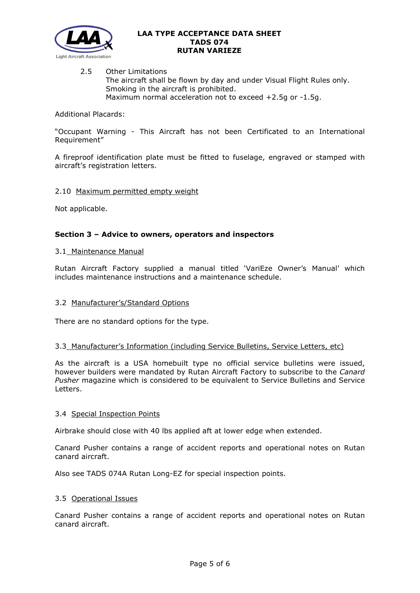

2.5 Other Limitations The aircraft shall be flown by day and under Visual Flight Rules only. Smoking in the aircraft is prohibited. Maximum normal acceleration not to exceed +2.5g or -1.5g.

Additional Placards:

"Occupant Warning - This Aircraft has not been Certificated to an International Requirement"

A fireproof identification plate must be fitted to fuselage, engraved or stamped with aircraft's registration letters.

## 2.10 Maximum permitted empty weight

Not applicable.

## **Section 3 – Advice to owners, operators and inspectors**

#### 3.1 Maintenance Manual

Rutan Aircraft Factory supplied a manual titled 'VariEze Owner's Manual' which includes maintenance instructions and a maintenance schedule.

## 3.2 Manufacturer's/Standard Options

There are no standard options for the type.

#### 3.3 Manufacturer's Information (including Service Bulletins, Service Letters, etc)

As the aircraft is a USA homebuilt type no official service bulletins were issued, however builders were mandated by Rutan Aircraft Factory to subscribe to the *Canard Pusher* magazine which is considered to be equivalent to Service Bulletins and Service Letters.

## 3.4 Special Inspection Points

Airbrake should close with 40 lbs applied aft at lower edge when extended.

Canard Pusher contains a range of accident reports and operational notes on Rutan canard aircraft.

Also see TADS 074A Rutan Long-EZ for special inspection points.

#### 3.5 Operational Issues

Canard Pusher contains a range of accident reports and operational notes on Rutan canard aircraft.